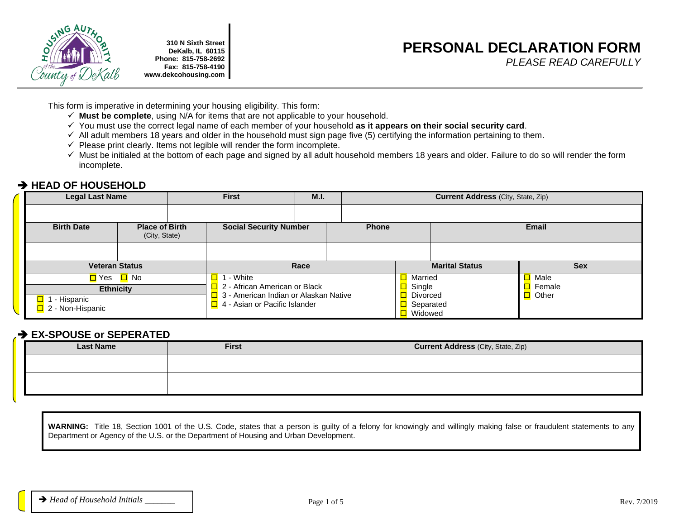

**310 N Sixth Street DeKalb, IL 60115 Phone: 815-758-2692 Fax: 815-758-4190 www.dekcohousing.com**

# **PERSONAL DECLARATION FORM**

*PLEASE READ CAREFULLY*

This form is imperative in determining your housing eligibility. This form:

- ✓ **Must be complete**, using N/A for items that are not applicable to your household.
- ✓ You must use the correct legal name of each member of your household **as it appears on their social security card**.
- $\checkmark$  All adult members 18 years and older in the household must sign page five (5) certifying the information pertaining to them.
- $\checkmark$  Please print clearly. Items not legible will render the form incomplete.
- ✓ Must be initialed at the bottom of each page and signed by all adult household members 18 years and older. Failure to do so will render the form incomplete.

## ➔ **HEAD OF HOUSEHOLD**

| <b>Legal Last Name</b>                                      |  | <b>First</b>                  |                                                                        | M.I.         |  |                                          | <b>Current Address (City, State, Zip)</b> |             |
|-------------------------------------------------------------|--|-------------------------------|------------------------------------------------------------------------|--------------|--|------------------------------------------|-------------------------------------------|-------------|
|                                                             |  |                               |                                                                        |              |  |                                          |                                           |             |
| <b>Birth Date</b><br><b>Place of Birth</b><br>(City, State) |  | <b>Social Security Number</b> |                                                                        | <b>Phone</b> |  |                                          | <b>Email</b>                              |             |
|                                                             |  |                               |                                                                        |              |  |                                          |                                           |             |
| <b>Veteran Status</b>                                       |  |                               | Race                                                                   |              |  |                                          | <b>Marital Status</b>                     | <b>Sex</b>  |
| D Yes D No                                                  |  |                               | ∣ - White                                                              |              |  | <b>□</b> Married                         |                                           | $\Box$ Male |
| <b>Ethnicity</b>                                            |  |                               | 2 - African American or Black                                          |              |  | ◻<br>Single                              |                                           | Female      |
| $\Box$ 1 - Hispanic<br>$\Box$ 2 - Non-Hispanic              |  |                               | 3 - American Indian or Alaskan Native<br>4 - Asian or Pacific Islander |              |  | □<br><b>Divorced</b><br><b>□</b> Widowed | Separated                                 | Other       |

## ➔ **EX-SPOUSE or SEPERATED**

| <b>Last Name</b> | <b>First</b> | <b>Current Address (City, State, Zip)</b> |  |  |  |
|------------------|--------------|-------------------------------------------|--|--|--|
|                  |              |                                           |  |  |  |
|                  |              |                                           |  |  |  |
|                  |              |                                           |  |  |  |

**WARNING:** Title 18, Section 1001 of the U.S. Code, states that a person is guilty of a felony for knowingly and willingly making false or fraudulent statements to any Department or Agency of the U.S. or the Department of Housing and Urban Development.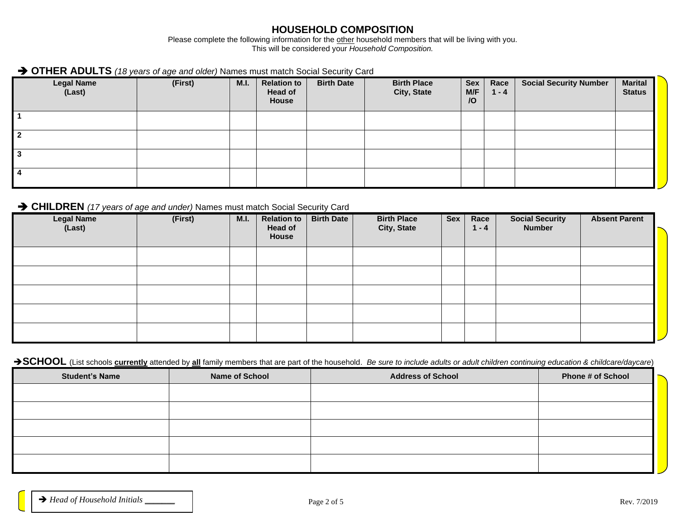#### **HOUSEHOLD COMPOSITION**

Please complete the following information for the other household members that will be living with you. This will be considered your *Household Composition.*

## ➔ **OTHER ADULTS** *(18 years of age and older)* Names must match Social Security Card

| <b>Legal Name</b><br>(Last) | (First) | <b>M.I.</b> | <b>Relation to</b><br><b>Head of</b><br>House | <b>Birth Date</b> | <b>Birth Place</b><br>City, State | <b>Sex</b><br>M/F<br>$\overline{O}$ | Race<br>$1 - 4$ | <b>Social Security Number</b> | <b>Marital</b><br><b>Status</b> |
|-----------------------------|---------|-------------|-----------------------------------------------|-------------------|-----------------------------------|-------------------------------------|-----------------|-------------------------------|---------------------------------|
|                             |         |             |                                               |                   |                                   |                                     |                 |                               |                                 |
|                             |         |             |                                               |                   |                                   |                                     |                 |                               |                                 |
|                             |         |             |                                               |                   |                                   |                                     |                 |                               |                                 |
|                             |         |             |                                               |                   |                                   |                                     |                 |                               |                                 |

#### ➔ **CHILDREN** *(17 years of age and under)* Names must match Social Security Card

| $\sim$ $\sim$ $\sim$<br>Legal Name<br>(Last) | (First) | M.I. | Relation to $\sqrt{ }$<br><b>Head of</b><br>House | <b>Birth Date</b> | <b>Birth Place</b><br>City, State | <b>Sex</b> | Race<br>$1 - 4$ | <b>Social Security</b><br><b>Number</b> | <b>Absent Parent</b> |
|----------------------------------------------|---------|------|---------------------------------------------------|-------------------|-----------------------------------|------------|-----------------|-----------------------------------------|----------------------|
|                                              |         |      |                                                   |                   |                                   |            |                 |                                         |                      |
|                                              |         |      |                                                   |                   |                                   |            |                 |                                         |                      |
|                                              |         |      |                                                   |                   |                                   |            |                 |                                         |                      |
|                                              |         |      |                                                   |                   |                                   |            |                 |                                         |                      |
|                                              |         |      |                                                   |                   |                                   |            |                 |                                         |                      |

#### → SCHOOL (List schools **currently** attended by all family members that are part of the household. *Be sure to include adults or adult children continuing education & childcare/daycare*)

| <b>Student's Name</b> | <b>Name of School</b> | <b>Address of School</b> | <b>Phone # of School</b> |
|-----------------------|-----------------------|--------------------------|--------------------------|
|                       |                       |                          |                          |
|                       |                       |                          |                          |
|                       |                       |                          |                          |
|                       |                       |                          |                          |
|                       |                       |                          |                          |
|                       |                       |                          |                          |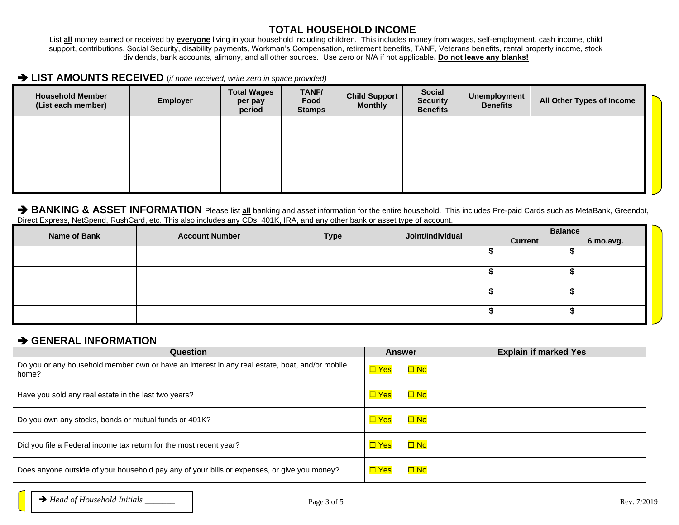#### **TOTAL HOUSEHOLD INCOME**

List **all** money earned or received by **everyone** living in your household including children. This includes money from wages, self-employment, cash income, child support, contributions, Social Security, disability payments, Workman's Compensation, retirement benefits, TANF, Veterans benefits, rental property income, stock dividends, bank accounts, alimony, and all other sources. Use zero or N/A if not applicable**. Do not leave any blanks!**

#### ➔ **LIST AMOUNTS RECEIVED** (*if none received, write zero in space provided)*

| <b>Household Member</b><br>(List each member) | <b>Employer</b> | <b>Total Wages</b><br>per pay<br>period | TANF/<br>Food<br><b>Stamps</b> | <b>Child Support</b><br><b>Monthly</b> | <b>Social</b><br><b>Security</b><br><b>Benefits</b> | Unemployment<br><b>Benefits</b> | All Other Types of Income |  |
|-----------------------------------------------|-----------------|-----------------------------------------|--------------------------------|----------------------------------------|-----------------------------------------------------|---------------------------------|---------------------------|--|
|                                               |                 |                                         |                                |                                        |                                                     |                                 |                           |  |
|                                               |                 |                                         |                                |                                        |                                                     |                                 |                           |  |
|                                               |                 |                                         |                                |                                        |                                                     |                                 |                           |  |
|                                               |                 |                                         |                                |                                        |                                                     |                                 |                           |  |

#### → BANKING & ASSET INFORMATION Please list all banking and asset information for the entire household. This includes Pre-paid Cards such as MetaBank, Greendot, Direct Express, NetSpend, RushCard, etc. This also includes any CDs, 401K, IRA, and any other bank or asset type of account.

| <b>Name of Bank</b> | <b>Account Number</b> |             | Joint/Individual | <b>Balance</b> |           |  |
|---------------------|-----------------------|-------------|------------------|----------------|-----------|--|
|                     |                       | <b>Type</b> |                  | <b>Current</b> | 6 mo.avg. |  |
|                     |                       |             |                  |                |           |  |
|                     |                       |             |                  |                |           |  |
|                     |                       |             |                  |                |           |  |
|                     |                       |             |                  |                |           |  |
|                     |                       |             |                  |                |           |  |
|                     |                       |             |                  |                |           |  |
|                     |                       |             |                  |                |           |  |

#### ➔ **GENERAL INFORMATION**

| Question                                                                                                | <b>Answer</b> |           | <b>Explain if marked Yes</b> |
|---------------------------------------------------------------------------------------------------------|---------------|-----------|------------------------------|
| Do you or any household member own or have an interest in any real estate, boat, and/or mobile<br>home? | $\Box$ Yes    | $\Box$ No |                              |
| Have you sold any real estate in the last two years?                                                    | $\Box$ Yes    | $\Box$ No |                              |
| Do you own any stocks, bonds or mutual funds or 401K?                                                   | $\Box$ Yes    | $\Box$ No |                              |
| Did you file a Federal income tax return for the most recent year?                                      | $\Box$ Yes    | $\Box$ No |                              |
| Does anyone outside of your household pay any of your bills or expenses, or give you money?             | $\Box$ Yes    | $\Box$ No |                              |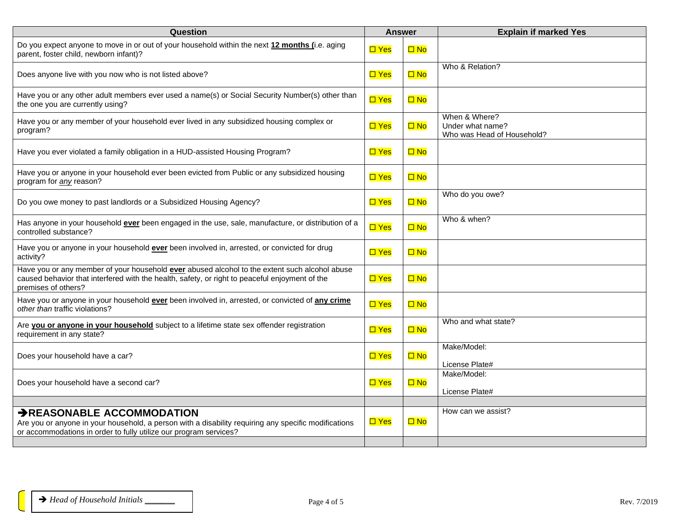| Question                                                                                                                                                                                                               | <b>Answer</b> |              | <b>Explain if marked Yes</b>                                    |
|------------------------------------------------------------------------------------------------------------------------------------------------------------------------------------------------------------------------|---------------|--------------|-----------------------------------------------------------------|
| Do you expect anyone to move in or out of your household within the next 12 months (i.e. aging<br>parent, foster child, newborn infant)?                                                                               | $\square$ Yes | $\Box$ No    |                                                                 |
| Does anyone live with you now who is not listed above?                                                                                                                                                                 | $\square$ Yes | $\Box$ No    | Who & Relation?                                                 |
| Have you or any other adult members ever used a name(s) or Social Security Number(s) other than<br>the one you are currently using?                                                                                    | $\Box$ Yes    | $\square$ No |                                                                 |
| Have you or any member of your household ever lived in any subsidized housing complex or<br>program?                                                                                                                   | $\square$ Yes | $\Box$ No    | When & Where?<br>Under what name?<br>Who was Head of Household? |
| Have you ever violated a family obligation in a HUD-assisted Housing Program?                                                                                                                                          | $\square$ Yes | $\Box$ No    |                                                                 |
| Have you or anyone in your household ever been evicted from Public or any subsidized housing<br>program for any reason?                                                                                                | $\square$ Yes | $\Box$ No    |                                                                 |
| Do you owe money to past landlords or a Subsidized Housing Agency?                                                                                                                                                     | $\Box$ Yes    | $\Box$ No    | Who do you owe?                                                 |
| Has anyone in your household ever been engaged in the use, sale, manufacture, or distribution of a<br>controlled substance?                                                                                            | $\square$ Yes | $\Box$ No    | Who & when?                                                     |
| Have you or anyone in your household ever been involved in, arrested, or convicted for drug<br>activity?                                                                                                               | $\square$ Yes | $\Box$ No    |                                                                 |
| Have you or any member of your household ever abused alcohol to the extent such alcohol abuse<br>caused behavior that interfered with the health, safety, or right to peaceful enjoyment of the<br>premises of others? | $\Box$ Yes    | $\Box$ No    |                                                                 |
| Have you or anyone in your household ever been involved in, arrested, or convicted of any crime<br>other than traffic violations?                                                                                      | $\square$ Yes | $\Box$ No    |                                                                 |
| Are you or anyone in your household subject to a lifetime state sex offender registration<br>requirement in any state?                                                                                                 | $\Box$ Yes    | $\Box$ No    | Who and what state?                                             |
| Does your household have a car?                                                                                                                                                                                        | $\Box$ Yes    | $\Box$ No    | Make/Model:<br>License Plate#                                   |
| Does your household have a second car?                                                                                                                                                                                 | $\Box$ Yes    | $\Box$ No    | Make/Model:<br>License Plate#                                   |
|                                                                                                                                                                                                                        |               |              |                                                                 |
| → REASONABLE ACCOMMODATION<br>Are you or anyone in your household, a person with a disability requiring any specific modifications<br>or accommodations in order to fully utilize our program services?                | $\Box$ Yes    | $\Box$ No    | How can we assist?                                              |